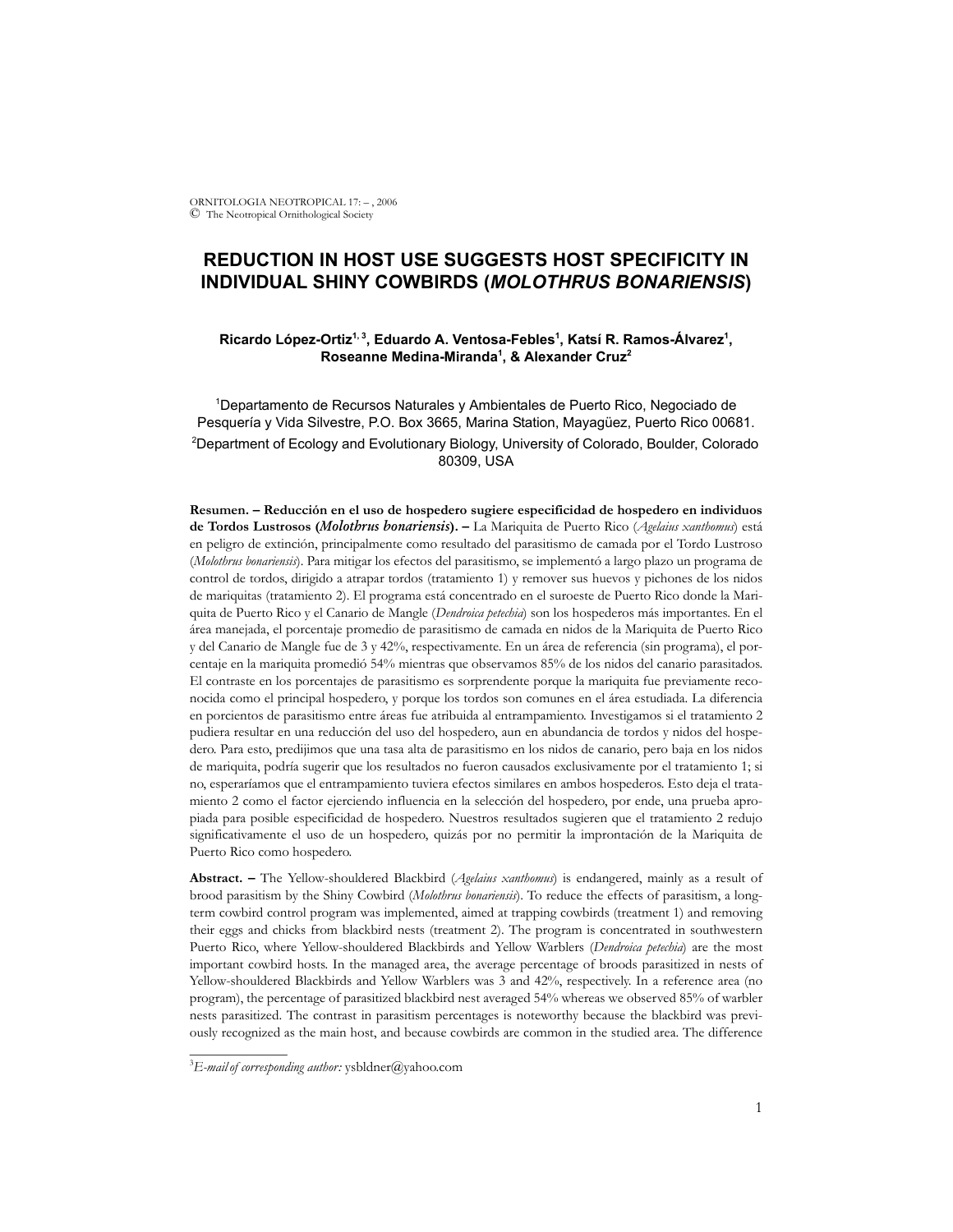ORNITOLOGIA NEOTROPICAL 17: – , 2006 © The Neotropical Ornithological Society

# **REDUCTION IN HOST USE SUGGESTS HOST SPECIFICITY IN INDIVIDUAL SHINY COWBIRDS (***MOLOTHRUS BONARIENSIS***)**

## Ricardo López-Ortiz<sup>1, 3</sup>, Eduardo A. Ventosa-Febles<sup>1</sup>, Katsí R. Ramos-Álvarez<sup>1</sup>, **Roseanne Medina-Miranda1 , & Alexander Cruz2**

1 Departamento de Recursos Naturales y Ambientales de Puerto Rico, Negociado de Pesquería y Vida Silvestre, P.O. Box 3665, Marina Station, Mayagüez, Puerto Rico 00681. 2 Department of Ecology and Evolutionary Biology, University of Colorado, Boulder, Colorado 80309, USA

**Resumen. – Reducción en el uso de hospedero sugiere especificidad de hospedero en individuos de Tordos Lustrosos (***Molothrus bonariensis***). –** La Mariquita de Puerto Rico (*Agelaius xanthomus*) está en peligro de extinción, principalmente como resultado del parasitismo de camada por el Tordo Lustroso (*Molothrus bonariensis*). Para mitigar los efectos del parasitismo, se implementó a largo plazo un programa de control de tordos, dirigido a atrapar tordos (tratamiento 1) y remover sus huevos y pichones de los nidos de mariquitas (tratamiento 2). El programa está concentrado en el suroeste de Puerto Rico donde la Mariquita de Puerto Rico y el Canario de Mangle (*Dendroica petechia*) son los hospederos más importantes. En el área manejada, el porcentaje promedio de parasitismo de camada en nidos de la Mariquita de Puerto Rico y del Canario de Mangle fue de 3 y 42%, respectivamente. En un área de referencia (sin programa), el porcentaje en la mariquita promedió 54% mientras que observamos 85% de los nidos del canario parasitados. El contraste en los porcentajes de parasitismo es sorprendente porque la mariquita fue previamente reconocida como el principal hospedero, y porque los tordos son comunes en el área estudiada. La diferencia en porcientos de parasitismo entre áreas fue atribuida al entrampamiento. Investigamos si el tratamiento 2 pudiera resultar en una reducción del uso del hospedero, aun en abundancia de tordos y nidos del hospedero. Para esto, predijimos que una tasa alta de parasitismo en los nidos de canario, pero baja en los nidos de mariquita, podría sugerir que los resultados no fueron causados exclusivamente por el tratamiento 1; si no, esperaríamos que el entrampamiento tuviera efectos similares en ambos hospederos. Esto deja el tratamiento 2 como el factor ejerciendo influencia en la selección del hospedero, por ende, una prueba apropiada para posible especificidad de hospedero. Nuestros resultados sugieren que el tratamiento 2 redujo significativamente el uso de un hospedero, quizás por no permitir la improntación de la Mariquita de Puerto Rico como hospedero.

**Abstract. –** The Yellow-shouldered Blackbird (*Agelaius xanthomus*) is endangered, mainly as a result of brood parasitism by the Shiny Cowbird (*Molothrus bonariensis*). To reduce the effects of parasitism, a longterm cowbird control program was implemented, aimed at trapping cowbirds (treatment 1) and removing their eggs and chicks from blackbird nests (treatment 2). The program is concentrated in southwestern Puerto Rico, where Yellow-shouldered Blackbirds and Yellow Warblers (*Dendroica petechia*) are the most important cowbird hosts. In the managed area, the average percentage of broods parasitized in nests of Yellow-shouldered Blackbirds and Yellow Warblers was 3 and 42%, respectively. In a reference area (no program), the percentage of parasitized blackbird nest averaged 54% whereas we observed 85% of warbler nests parasitized. The contrast in parasitism percentages is noteworthy because the blackbird was previously recognized as the main host, and because cowbirds are common in the studied area. The difference

\_\_\_\_\_\_\_\_\_\_\_\_\_\_

<sup>3</sup> *E-mailof corresponding author:* ysbldner@yahoo.com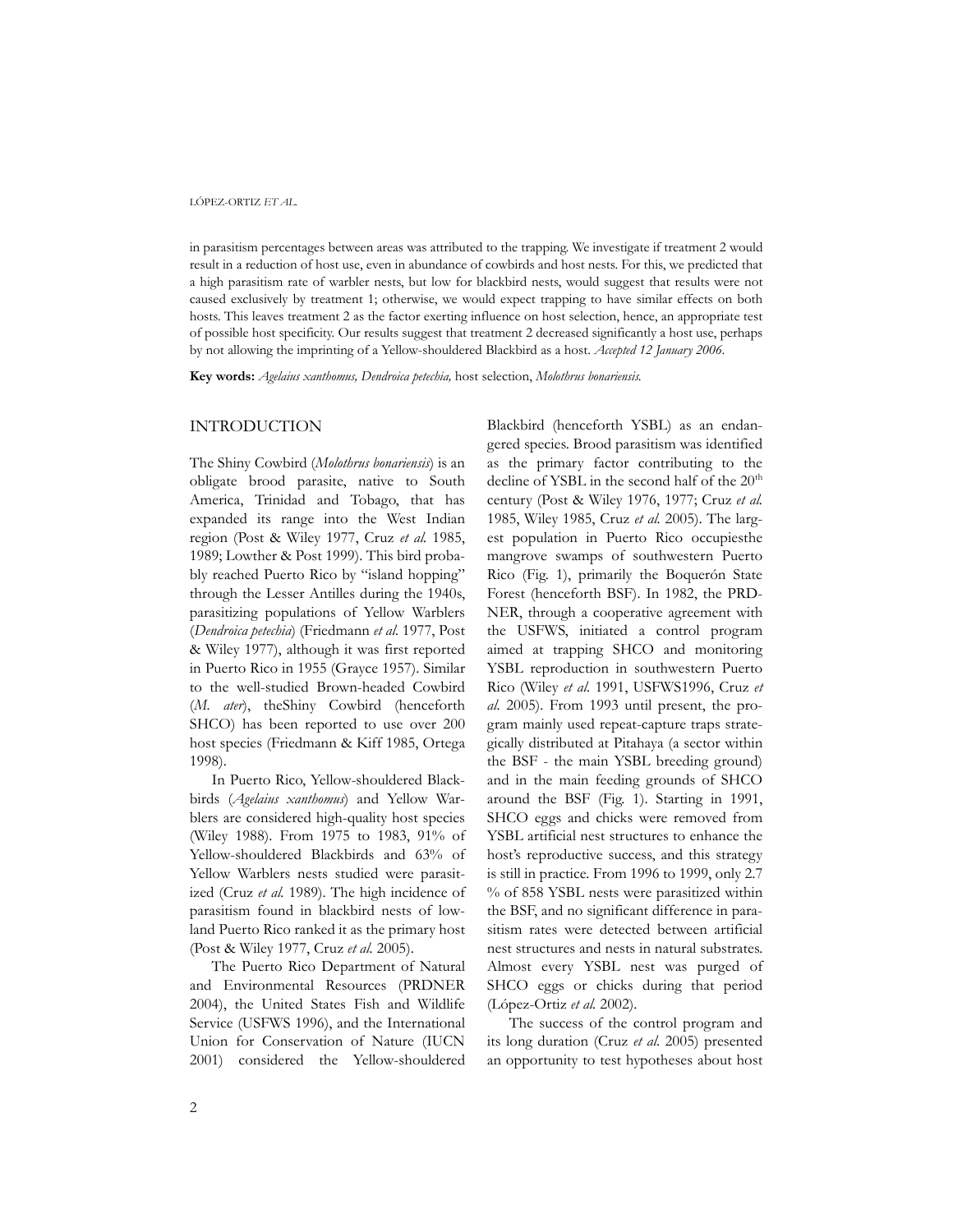in parasitism percentages between areas was attributed to the trapping. We investigate if treatment 2 would result in a reduction of host use, even in abundance of cowbirds and host nests. For this, we predicted that a high parasitism rate of warbler nests, but low for blackbird nests, would suggest that results were not caused exclusively by treatment 1; otherwise, we would expect trapping to have similar effects on both hosts. This leaves treatment 2 as the factor exerting influence on host selection, hence, an appropriate test of possible host specificity. Our results suggest that treatment 2 decreased significantly a host use, perhaps by not allowing the imprinting of a Yellow-shouldered Blackbird as a host. *Accepted 12 January 2006.*

**Key words:** *Agelaius xanthomus, Dendroica petechia,* host selection, *Molothrus bonariensis*.

## INTRODUCTION

The Shiny Cowbird (*Molothrus bonariensis*) is an obligate brood parasite, native to South America, Trinidad and Tobago, that has expanded its range into the West Indian region (Post & Wiley 1977, Cruz *et al.* 1985, 1989; Lowther & Post 1999). This bird probably reached Puerto Rico by "island hopping" through the Lesser Antilles during the 1940s, parasitizing populations of Yellow Warblers (*Dendroica petechia*) (Friedmann *et al.* 1977, Post & Wiley 1977), although it was first reported in Puerto Rico in 1955 (Grayce 1957). Similar to the well-studied Brown-headed Cowbird (*M. ater*), theShiny Cowbird (henceforth SHCO) has been reported to use over 200 host species (Friedmann & Kiff 1985, Ortega 1998).

In Puerto Rico, Yellow-shouldered Blackbirds (*Agelaius xanthomus*) and Yellow Warblers are considered high-quality host species (Wiley 1988). From 1975 to 1983, 91% of Yellow-shouldered Blackbirds and 63% of Yellow Warblers nests studied were parasitized (Cruz *et al.* 1989). The high incidence of parasitism found in blackbird nests of lowland Puerto Rico ranked it as the primary host (Post & Wiley 1977, Cruz *et al.* 2005).

The Puerto Rico Department of Natural and Environmental Resources (PRDNER 2004), the United States Fish and Wildlife Service (USFWS 1996), and the International Union for Conservation of Nature (IUCN 2001) considered the Yellow-shouldered Blackbird (henceforth YSBL) as an endangered species. Brood parasitism was identified as the primary factor contributing to the decline of YSBL in the second half of the  $20<sup>th</sup>$ century (Post & Wiley 1976, 1977; Cruz *et al.* 1985, Wiley 1985, Cruz *et al.* 2005). The largest population in Puerto Rico occupiesthe mangrove swamps of southwestern Puerto Rico (Fig. 1), primarily the Boquerón State Forest (henceforth BSF). In 1982, the PRD-NER, through a cooperative agreement with the USFWS, initiated a control program aimed at trapping SHCO and monitoring YSBL reproduction in southwestern Puerto Rico (Wiley *et al.* 1991, USFWS1996, Cruz *et al.* 2005). From 1993 until present, the program mainly used repeat-capture traps strategically distributed at Pitahaya (a sector within the BSF - the main YSBL breeding ground) and in the main feeding grounds of SHCO around the BSF (Fig. 1). Starting in 1991, SHCO eggs and chicks were removed from YSBL artificial nest structures to enhance the host's reproductive success, and this strategy is still in practice. From 1996 to 1999, only 2.7 % of 858 YSBL nests were parasitized within the BSF, and no significant difference in parasitism rates were detected between artificial nest structures and nests in natural substrates. Almost every YSBL nest was purged of SHCO eggs or chicks during that period (López-Ortiz *et al.* 2002).

The success of the control program and its long duration (Cruz *et al*. 2005) presented an opportunity to test hypotheses about host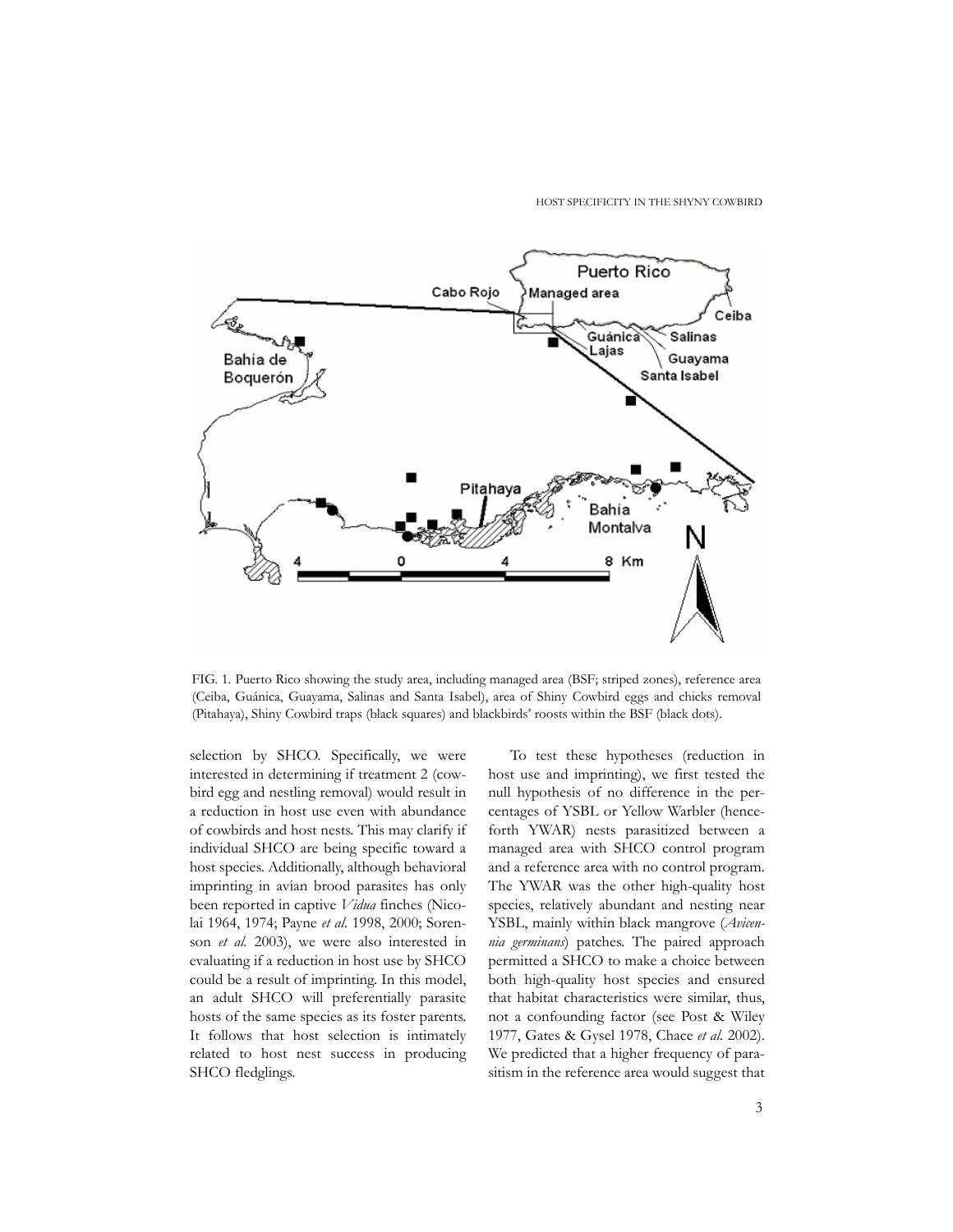

FIG. 1. Puerto Rico showing the study area, including managed area (BSF; striped zones), reference area (Ceiba, Guánica, Guayama, Salinas and Santa Isabel), area of Shiny Cowbird eggs and chicks removal (Pitahaya), Shiny Cowbird traps (black squares) and blackbirds' roosts within the BSF (black dots).

selection by SHCO. Specifically, we were interested in determining if treatment 2 (cowbird egg and nestling removal) would result in a reduction in host use even with abundance of cowbirds and host nests. This may clarify if individual SHCO are being specific toward a host species. Additionally, although behavioral imprinting in avian brood parasites has only been reported in captive *Vidua* finches (Nicolai 1964, 1974; Payne *et al*. 1998, 2000; Sorenson *et al.* 2003), we were also interested in evaluating if a reduction in host use by SHCO could be a result of imprinting. In this model, an adult SHCO will preferentially parasite hosts of the same species as its foster parents. It follows that host selection is intimately related to host nest success in producing SHCO fledglings.

To test these hypotheses (reduction in host use and imprinting), we first tested the null hypothesis of no difference in the percentages of YSBL or Yellow Warbler (henceforth YWAR) nests parasitized between a managed area with SHCO control program and a reference area with no control program. The YWAR was the other high-quality host species, relatively abundant and nesting near YSBL, mainly within black mangrove (*Avicennia germinans*) patches. The paired approach permitted a SHCO to make a choice between both high-quality host species and ensured that habitat characteristics were similar, thus, not a confounding factor (see Post & Wiley 1977, Gates & Gysel 1978, Chace *et al.* 2002). We predicted that a higher frequency of parasitism in the reference area would suggest that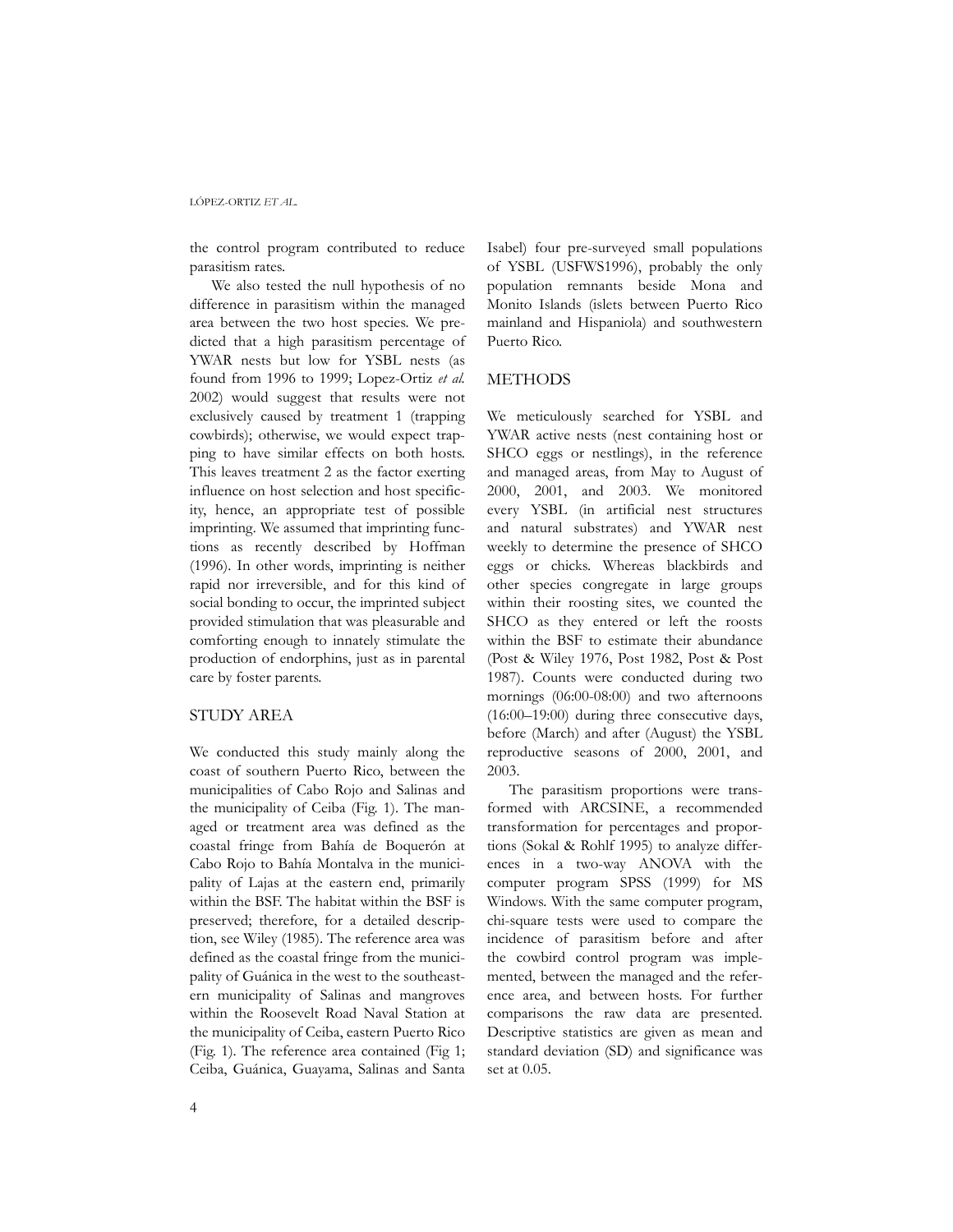the control program contributed to reduce parasitism rates.

We also tested the null hypothesis of no difference in parasitism within the managed area between the two host species. We predicted that a high parasitism percentage of YWAR nests but low for YSBL nests (as found from 1996 to 1999; Lopez-Ortiz *et al.* 2002) would suggest that results were not exclusively caused by treatment 1 (trapping cowbirds); otherwise, we would expect trapping to have similar effects on both hosts. This leaves treatment 2 as the factor exerting influence on host selection and host specificity, hence, an appropriate test of possible imprinting*.* We assumed that imprinting functions as recently described by Hoffman (1996). In other words, imprinting is neither rapid nor irreversible, and for this kind of social bonding to occur, the imprinted subject provided stimulation that was pleasurable and comforting enough to innately stimulate the production of endorphins, just as in parental care by foster parents.

#### STUDY AREA

We conducted this study mainly along the coast of southern Puerto Rico, between the municipalities of Cabo Rojo and Salinas and the municipality of Ceiba (Fig. 1). The managed or treatment area was defined as the coastal fringe from Bahía de Boquerón at Cabo Rojo to Bahía Montalva in the municipality of Lajas at the eastern end, primarily within the BSF. The habitat within the BSF is preserved; therefore, for a detailed description, see Wiley (1985). The reference area was defined as the coastal fringe from the municipality of Guánica in the west to the southeastern municipality of Salinas and mangroves within the Roosevelt Road Naval Station at the municipality of Ceiba, eastern Puerto Rico (Fig. 1). The reference area contained (Fig 1; Ceiba, Guánica, Guayama, Salinas and Santa Isabel) four pre-surveyed small populations of YSBL (USFWS1996), probably the only population remnants beside Mona and Monito Islands (islets between Puerto Rico mainland and Hispaniola) and southwestern Puerto Rico.

## **METHODS**

We meticulously searched for YSBL and YWAR active nests (nest containing host or SHCO eggs or nestlings), in the reference and managed areas, from May to August of 2000, 2001, and 2003. We monitored every YSBL (in artificial nest structures and natural substrates) and YWAR nest weekly to determine the presence of SHCO eggs or chicks. Whereas blackbirds and other species congregate in large groups within their roosting sites, we counted the SHCO as they entered or left the roosts within the BSF to estimate their abundance (Post & Wiley 1976, Post 1982, Post & Post 1987). Counts were conducted during two mornings (06:00-08:00) and two afternoons (16:00–19:00) during three consecutive days, before (March) and after (August) the YSBL reproductive seasons of 2000, 2001, and 2003.

The parasitism proportions were transformed with ARCSINE, a recommended transformation for percentages and proportions (Sokal & Rohlf 1995) to analyze differences in a two-way ANOVA with the computer program SPSS (1999) for MS Windows. With the same computer program, chi-square tests were used to compare the incidence of parasitism before and after the cowbird control program was implemented, between the managed and the reference area, and between hosts. For further comparisons the raw data are presented. Descriptive statistics are given as mean and standard deviation (SD) and significance was set at 0.05.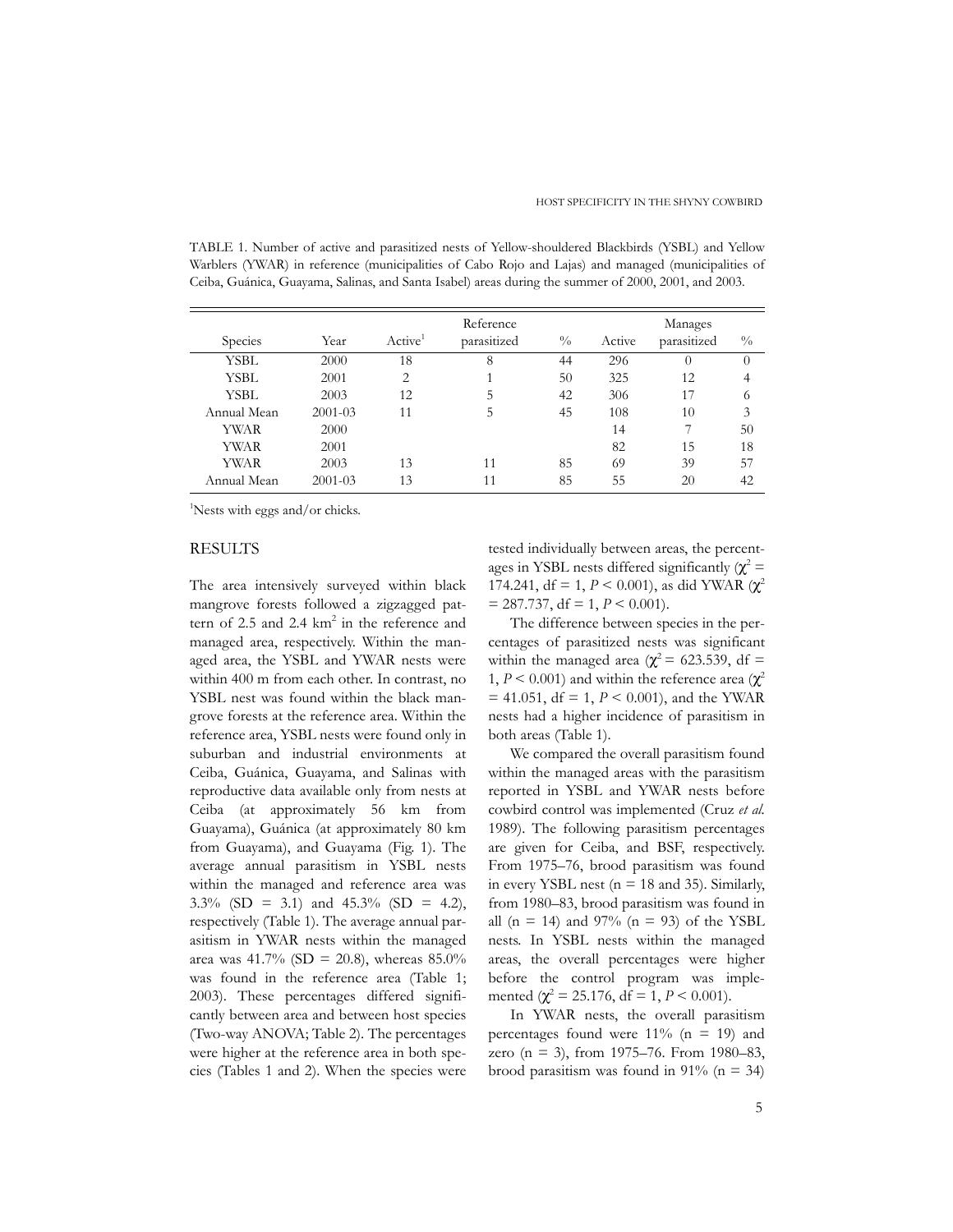TABLE 1. Number of active and parasitized nests of Yellow-shouldered Blackbirds (YSBL) and Yellow Warblers (YWAR) in reference (municipalities of Cabo Rojo and Lajas) and managed (municipalities of Ceiba, Guánica, Guayama, Salinas, and Santa Isabel) areas during the summer of 2000, 2001, and 2003.

|             |             |                     | Reference   | Manages       |        |             |               |
|-------------|-------------|---------------------|-------------|---------------|--------|-------------|---------------|
| Species     | Year        | Active <sup>1</sup> | parasitized | $\frac{0}{0}$ | Active | parasitized | $\frac{0}{0}$ |
| YSBL        | 2000        | 18                  | 8           | 44            | 296    | $\theta$    | $\theta$      |
| YSBL        | 2001        | 2                   |             | 50            | 325    | 12          | 4             |
| YSBL        | 2003        | 12                  | 5           | 42            | 306    | 17          | 6             |
| Annual Mean | $2001 - 03$ | 11                  | 5           | 45            | 108    | 10          | 3             |
| YWAR        | 2000        |                     |             |               | 14     |             | 50            |
| YWAR        | 2001        |                     |             |               | 82     | 15          | 18            |
| YWAR        | 2003        | 13                  | 11          | 85            | 69     | 39          | 57            |
| Annual Mean | $2001 - 03$ | 13                  | 11          | 85            | 55     | 20          | 42            |

<sup>1</sup>Nests with eggs and/or chicks.

## RESULTS

The area intensively surveyed within black mangrove forests followed a zigzagged pattern of 2.5 and 2.4 km<sup>2</sup> in the reference and managed area, respectively. Within the managed area, the YSBL and YWAR nests were within 400 m from each other. In contrast, no YSBL nest was found within the black mangrove forests at the reference area. Within the reference area, YSBL nests were found only in suburban and industrial environments at Ceiba, Guánica, Guayama, and Salinas with reproductive data available only from nests at Ceiba (at approximately 56 km from Guayama), Guánica (at approximately 80 km from Guayama), and Guayama (Fig. 1). The average annual parasitism in YSBL nests within the managed and reference area was  $3.3\%$  (SD = 3.1) and  $45.3\%$  (SD = 4.2), respectively (Table 1). The average annual parasitism in YWAR nests within the managed area was 41.7% (SD = 20.8), whereas  $85.0\%$ was found in the reference area (Table 1; 2003). These percentages differed significantly between area and between host species (Two-way ANOVA; Table 2). The percentages were higher at the reference area in both species (Tables 1 and 2). When the species were tested individually between areas, the percentages in YSBL nests differed significantly ( $\chi^2$  = 174.241, df = 1,  $P < 0.001$ ), as did YWAR ( $\chi^2$ )  $= 287.737$ , df  $= 1, P < 0.001$ ).

The difference between species in the percentages of parasitized nests was significant within the managed area ( $\chi^2$  = 623.539, df = 1,  $P < 0.001$ ) and within the reference area ( $\chi^2$  $=$  41.051, df = 1,  $P \le 0.001$ ), and the YWAR nests had a higher incidence of parasitism in both areas (Table 1).

We compared the overall parasitism found within the managed areas with the parasitism reported in YSBL and YWAR nests before cowbird control was implemented (Cruz *et al.* 1989). The following parasitism percentages are given for Ceiba, and BSF, respectively. From 1975–76, brood parasitism was found in every YSBL nest ( $n = 18$  and 35). Similarly, from 1980–83, brood parasitism was found in all (n = 14) and 97% (n = 93) of the YSBL nests. In YSBL nests within the managed areas, the overall percentages were higher before the control program was implemented  $(\chi^2 = 25.176, df = 1, P < 0.001)$ .

In YWAR nests, the overall parasitism percentages found were  $11\%$  (n = 19) and zero (n = 3), from 1975–76. From 1980–83, brood parasitism was found in  $91\%$  (n = 34)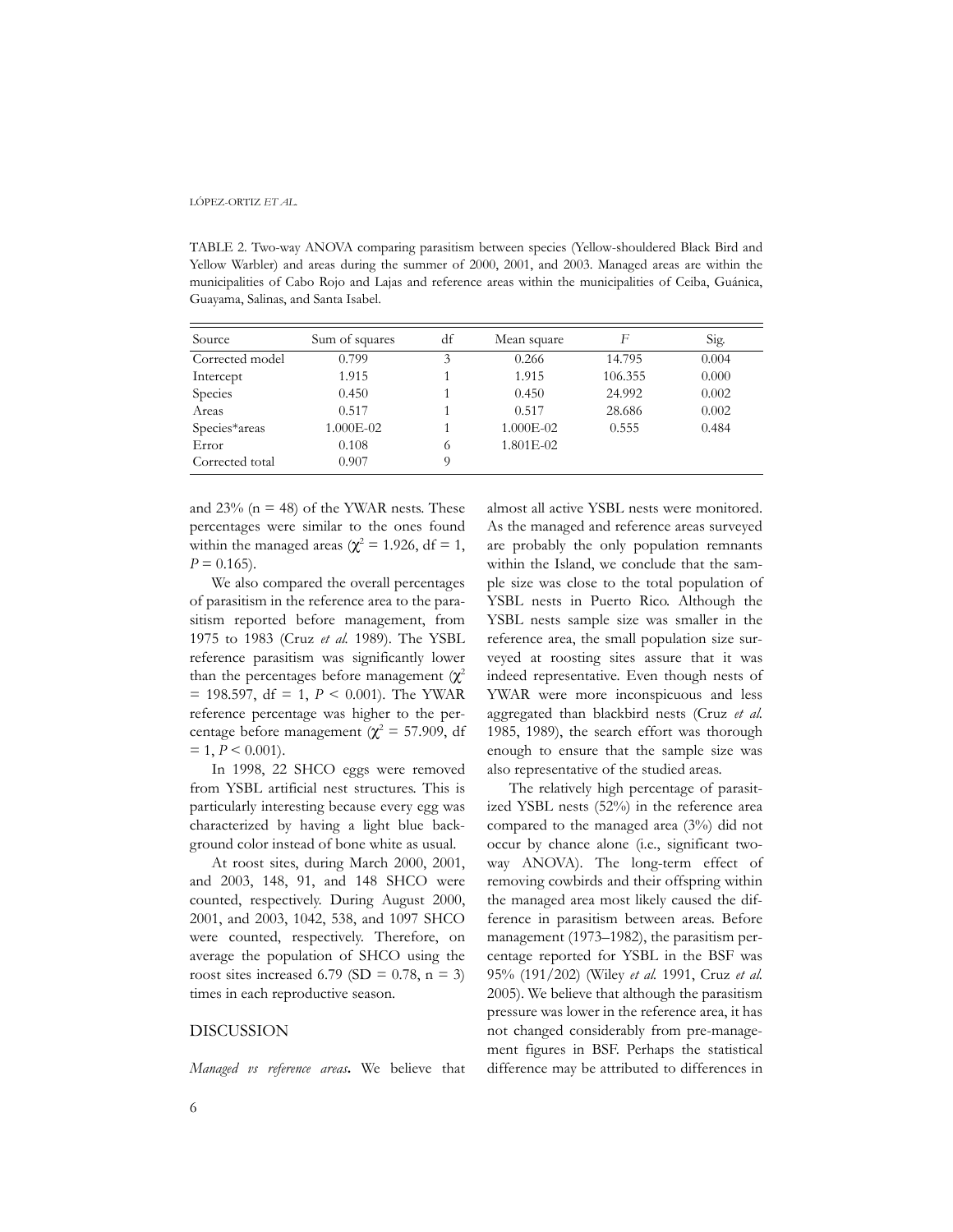TABLE 2. Two-way ANOVA comparing parasitism between species (Yellow-shouldered Black Bird and Yellow Warbler) and areas during the summer of 2000, 2001, and 2003. Managed areas are within the municipalities of Cabo Rojo and Lajas and reference areas within the municipalities of Ceiba, Guánica, Guayama, Salinas, and Santa Isabel.

| Source          | Sum of squares | df | Mean square | F       | Sig.  |
|-----------------|----------------|----|-------------|---------|-------|
| Corrected model | 0.799          | 3  | 0.266       | 14.795  | 0.004 |
| Intercept       | 1.915          |    | 1.915       | 106.355 | 0.000 |
| Species         | 0.450          |    | 0.450       | 24.992  | 0.002 |
| Areas           | 0.517          |    | 0.517       | 28.686  | 0.002 |
| Species*areas   | 1.000E-02      |    | 1.000E-02   | 0.555   | 0.484 |
| Error           | 0.108          | 6  | 1.801E-02   |         |       |
| Corrected total | 0.907          | Q  |             |         |       |

and  $23\%$  (n = 48) of the YWAR nests. These percentages were similar to the ones found within the managed areas ( $\chi^2$  = 1.926, df = 1,  $P = 0.165$ .

We also compared the overall percentages of parasitism in the reference area to the parasitism reported before management, from 1975 to 1983 (Cruz *et al.* 1989). The YSBL reference parasitism was significantly lower than the percentages before management ( $\chi^2$  $= 198.597$ , df  $= 1$ ,  $P < 0.001$ ). The YWAR reference percentage was higher to the percentage before management ( $\chi^2$  = 57.909, df  $= 1, P \leq 0.001$ .

In 1998, 22 SHCO eggs were removed from YSBL artificial nest structures. This is particularly interesting because every egg was characterized by having a light blue background color instead of bone white as usual.

At roost sites, during March 2000, 2001, and 2003, 148, 91, and 148 SHCO were counted, respectively. During August 2000, 2001, and 2003, 1042, 538, and 1097 SHCO were counted, respectively. Therefore, on average the population of SHCO using the roost sites increased 6.79 (SD =  $0.78$ , n = 3) times in each reproductive season.

## DISCUSSION

*Managed vs reference areas***.** We believe that

almost all active YSBL nests were monitored. As the managed and reference areas surveyed are probably the only population remnants within the Island, we conclude that the sample size was close to the total population of YSBL nests in Puerto Rico. Although the YSBL nests sample size was smaller in the reference area, the small population size surveyed at roosting sites assure that it was indeed representative. Even though nests of YWAR were more inconspicuous and less aggregated than blackbird nests (Cruz *et al.* 1985, 1989), the search effort was thorough enough to ensure that the sample size was also representative of the studied areas.

The relatively high percentage of parasitized YSBL nests (52%) in the reference area compared to the managed area (3%) did not occur by chance alone (i.e., significant twoway ANOVA). The long-term effect of removing cowbirds and their offspring within the managed area most likely caused the difference in parasitism between areas. Before management (1973–1982), the parasitism percentage reported for YSBL in the BSF was 95% (191/202) (Wiley *et al.* 1991, Cruz *et al.* 2005). We believe that although the parasitism pressure was lower in the reference area, it has not changed considerably from pre-management figures in BSF. Perhaps the statistical difference may be attributed to differences in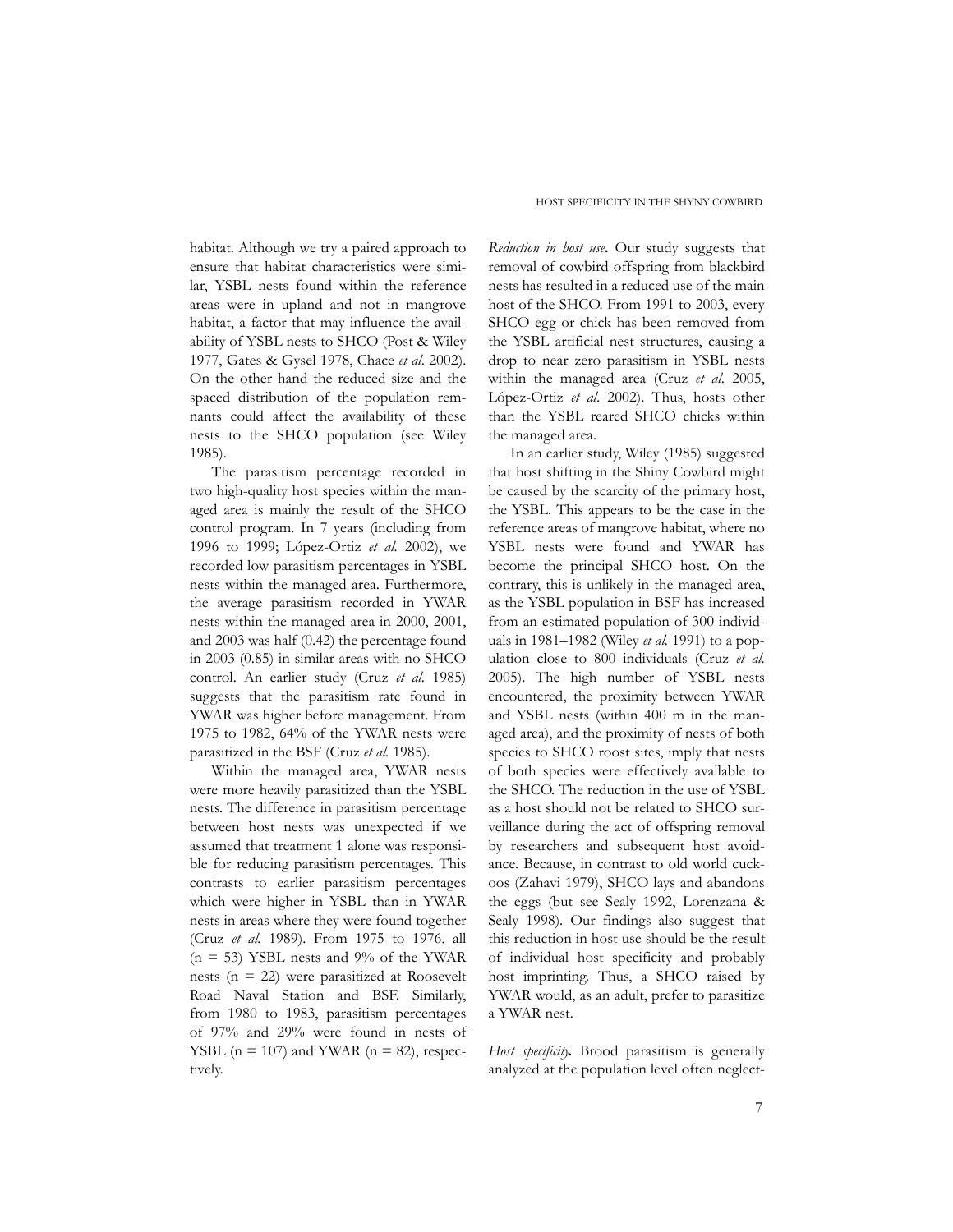habitat. Although we try a paired approach to ensure that habitat characteristics were similar, YSBL nests found within the reference areas were in upland and not in mangrove habitat, a factor that may influence the availability of YSBL nests to SHCO (Post & Wiley 1977, Gates & Gysel 1978, Chace *et al*. 2002). On the other hand the reduced size and the spaced distribution of the population remnants could affect the availability of these nests to the SHCO population (see Wiley 1985).

The parasitism percentage recorded in two high-quality host species within the managed area is mainly the result of the SHCO control program. In 7 years (including from 1996 to 1999; López-Ortiz *et al.* 2002), we recorded low parasitism percentages in YSBL nests within the managed area. Furthermore, the average parasitism recorded in YWAR nests within the managed area in 2000, 2001, and 2003 was half (0.42) the percentage found in 2003 (0.85) in similar areas with no SHCO control. An earlier study (Cruz *et al.* 1985) suggests that the parasitism rate found in YWAR was higher before management. From 1975 to 1982, 64% of the YWAR nests were parasitized in the BSF (Cruz *et al.* 1985).

Within the managed area, YWAR nests were more heavily parasitized than the YSBL nests. The difference in parasitism percentage between host nests was unexpected if we assumed that treatment 1 alone was responsible for reducing parasitism percentages. This contrasts to earlier parasitism percentages which were higher in YSBL than in YWAR nests in areas where they were found together (Cruz *et al.* 1989). From 1975 to 1976, all  $(n = 53)$  YSBL nests and 9% of the YWAR nests (n = 22) were parasitized at Roosevelt Road Naval Station and BSF. Similarly, from 1980 to 1983, parasitism percentages of 97% and 29% were found in nests of YSBL ( $n = 107$ ) and YWAR ( $n = 82$ ), respectively.

*Reduction in host use***.** Our study suggests that removal of cowbird offspring from blackbird nests has resulted in a reduced use of the main host of the SHCO. From 1991 to 2003, every SHCO egg or chick has been removed from the YSBL artificial nest structures, causing a drop to near zero parasitism in YSBL nests within the managed area (Cruz *et al*. 2005, López-Ortiz *et al*. 2002). Thus, hosts other than the YSBL reared SHCO chicks within the managed area.

In an earlier study, Wiley (1985) suggested that host shifting in the Shiny Cowbird might be caused by the scarcity of the primary host, the YSBL. This appears to be the case in the reference areas of mangrove habitat, where no YSBL nests were found and YWAR has become the principal SHCO host. On the contrary, this is unlikely in the managed area, as the YSBL population in BSF has increased from an estimated population of 300 individuals in 1981–1982 (Wiley *et al.* 1991) to a population close to 800 individuals (Cruz *et al.* 2005). The high number of YSBL nests encountered, the proximity between YWAR and YSBL nests (within 400 m in the managed area), and the proximity of nests of both species to SHCO roost sites, imply that nests of both species were effectively available to the SHCO. The reduction in the use of YSBL as a host should not be related to SHCO surveillance during the act of offspring removal by researchers and subsequent host avoidance. Because, in contrast to old world cuckoos (Zahavi 1979), SHCO lays and abandons the eggs (but see Sealy 1992, Lorenzana & Sealy 1998). Our findings also suggest that this reduction in host use should be the result of individual host specificity and probably host imprinting. Thus, a SHCO raised by YWAR would, as an adult, prefer to parasitize a YWAR nest.

*Host specificity***.** Brood parasitism is generally analyzed at the population level often neglect-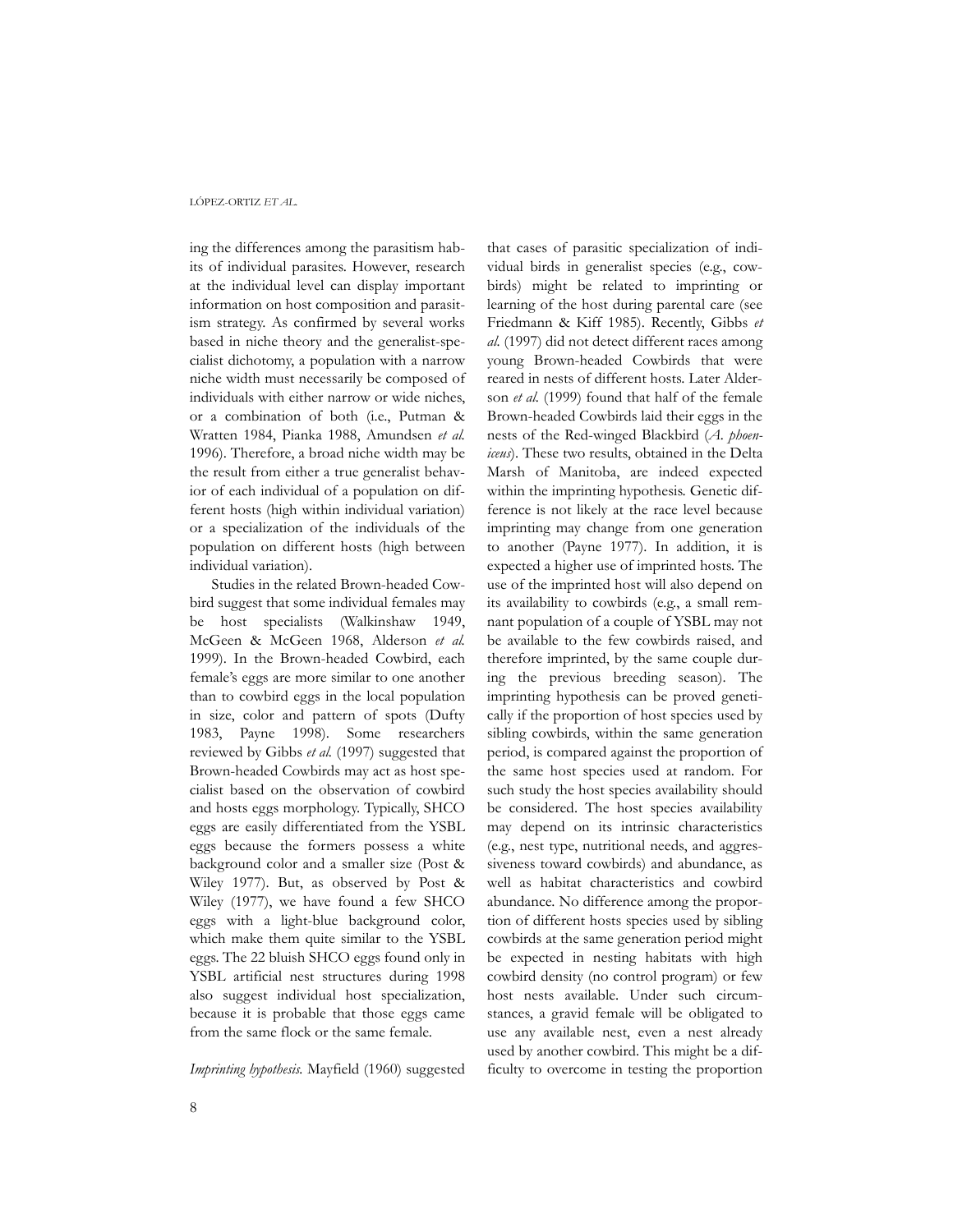ing the differences among the parasitism habits of individual parasites. However, research at the individual level can display important information on host composition and parasitism strategy. As confirmed by several works based in niche theory and the generalist-specialist dichotomy, a population with a narrow niche width must necessarily be composed of individuals with either narrow or wide niches, or a combination of both (i.e., Putman & Wratten 1984, Pianka 1988, Amundsen *et al.* 1996). Therefore, a broad niche width may be the result from either a true generalist behavior of each individual of a population on different hosts (high within individual variation) or a specialization of the individuals of the population on different hosts (high between individual variation).

Studies in the related Brown-headed Cowbird suggest that some individual females may be host specialists (Walkinshaw 1949, McGeen & McGeen 1968, Alderson *et al.* 1999). In the Brown-headed Cowbird, each female's eggs are more similar to one another than to cowbird eggs in the local population in size, color and pattern of spots (Dufty 1983, Payne 1998). Some researchers reviewed by Gibbs *et al.* (1997) suggested that Brown-headed Cowbirds may act as host specialist based on the observation of cowbird and hosts eggs morphology. Typically, SHCO eggs are easily differentiated from the YSBL eggs because the formers possess a white background color and a smaller size (Post & Wiley 1977). But, as observed by Post & Wiley (1977), we have found a few SHCO eggs with a light-blue background color, which make them quite similar to the YSBL eggs. The 22 bluish SHCO eggs found only in YSBL artificial nest structures during 1998 also suggest individual host specialization, because it is probable that those eggs came from the same flock or the same female.

*Imprinting hypothesis.* Mayfield (1960) suggested

that cases of parasitic specialization of individual birds in generalist species (e.g., cowbirds) might be related to imprinting or learning of the host during parental care (see Friedmann & Kiff 1985). Recently, Gibbs *et al.* (1997) did not detect different races among young Brown-headed Cowbirds that were reared in nests of different hosts. Later Alderson *et al.* (1999) found that half of the female Brown-headed Cowbirds laid their eggs in the nests of the Red-winged Blackbird (*A. phoeniceus*). These two results, obtained in the Delta Marsh of Manitoba, are indeed expected within the imprinting hypothesis. Genetic difference is not likely at the race level because imprinting may change from one generation to another (Payne 1977). In addition, it is expected a higher use of imprinted hosts. The use of the imprinted host will also depend on its availability to cowbirds (e.g., a small remnant population of a couple of YSBL may not be available to the few cowbirds raised, and therefore imprinted, by the same couple during the previous breeding season). The imprinting hypothesis can be proved genetically if the proportion of host species used by sibling cowbirds, within the same generation period, is compared against the proportion of the same host species used at random. For such study the host species availability should be considered. The host species availability may depend on its intrinsic characteristics (e.g., nest type, nutritional needs, and aggressiveness toward cowbirds) and abundance, as well as habitat characteristics and cowbird abundance. No difference among the proportion of different hosts species used by sibling cowbirds at the same generation period might be expected in nesting habitats with high cowbird density (no control program) or few host nests available. Under such circumstances, a gravid female will be obligated to use any available nest, even a nest already used by another cowbird. This might be a difficulty to overcome in testing the proportion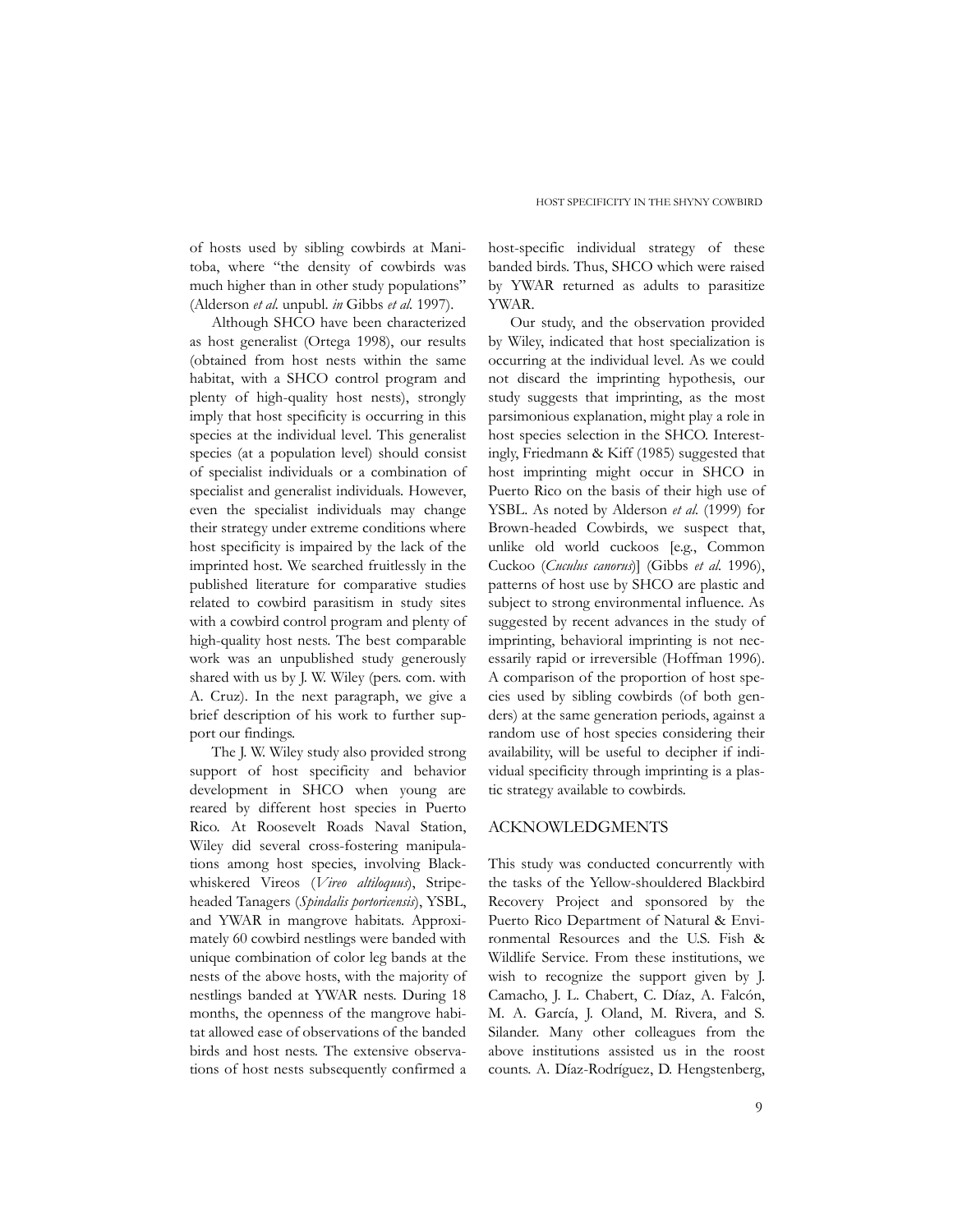of hosts used by sibling cowbirds at Manitoba, where "the density of cowbirds was much higher than in other study populations" (Alderson *et al.* unpubl. *in* Gibbs *et al.* 1997).

Although SHCO have been characterized as host generalist (Ortega 1998), our results (obtained from host nests within the same habitat, with a SHCO control program and plenty of high-quality host nests), strongly imply that host specificity is occurring in this species at the individual level. This generalist species (at a population level) should consist of specialist individuals or a combination of specialist and generalist individuals. However, even the specialist individuals may change their strategy under extreme conditions where host specificity is impaired by the lack of the imprinted host. We searched fruitlessly in the published literature for comparative studies related to cowbird parasitism in study sites with a cowbird control program and plenty of high-quality host nests. The best comparable work was an unpublished study generously shared with us by J. W. Wiley (pers. com. with A. Cruz). In the next paragraph, we give a brief description of his work to further support our findings.

The J. W. Wiley study also provided strong support of host specificity and behavior development in SHCO when young are reared by different host species in Puerto Rico. At Roosevelt Roads Naval Station, Wiley did several cross-fostering manipulations among host species, involving Blackwhiskered Vireos (*Vireo altiloquus*), Stripeheaded Tanagers (*Spindalis portoricensis*), YSBL, and YWAR in mangrove habitats. Approximately 60 cowbird nestlings were banded with unique combination of color leg bands at the nests of the above hosts, with the majority of nestlings banded at YWAR nests. During 18 months, the openness of the mangrove habitat allowed ease of observations of the banded birds and host nests. The extensive observations of host nests subsequently confirmed a

host-specific individual strategy of these banded birds. Thus, SHCO which were raised by YWAR returned as adults to parasitize YWAR.

Our study, and the observation provided by Wiley, indicated that host specialization is occurring at the individual level. As we could not discard the imprinting hypothesis, our study suggests that imprinting, as the most parsimonious explanation, might play a role in host species selection in the SHCO. Interestingly, Friedmann & Kiff (1985) suggested that host imprinting might occur in SHCO in Puerto Rico on the basis of their high use of YSBL. As noted by Alderson *et al.* (1999) for Brown-headed Cowbirds, we suspect that, unlike old world cuckoos [e.g., Common Cuckoo (*Cuculus canorus*)] (Gibbs *et al.* 1996), patterns of host use by SHCO are plastic and subject to strong environmental influence. As suggested by recent advances in the study of imprinting, behavioral imprinting is not necessarily rapid or irreversible (Hoffman 1996). A comparison of the proportion of host species used by sibling cowbirds (of both genders) at the same generation periods, against a random use of host species considering their availability, will be useful to decipher if individual specificity through imprinting is a plastic strategy available to cowbirds.

#### ACKNOWLEDGMENTS

This study was conducted concurrently with the tasks of the Yellow-shouldered Blackbird Recovery Project and sponsored by the Puerto Rico Department of Natural & Environmental Resources and the U.S. Fish & Wildlife Service. From these institutions, we wish to recognize the support given by J. Camacho, J. L. Chabert, C. Díaz, A. Falcón, M. A. García, J. Oland, M. Rivera, and S. Silander. Many other colleagues from the above institutions assisted us in the roost counts. A. Díaz-Rodríguez, D. Hengstenberg,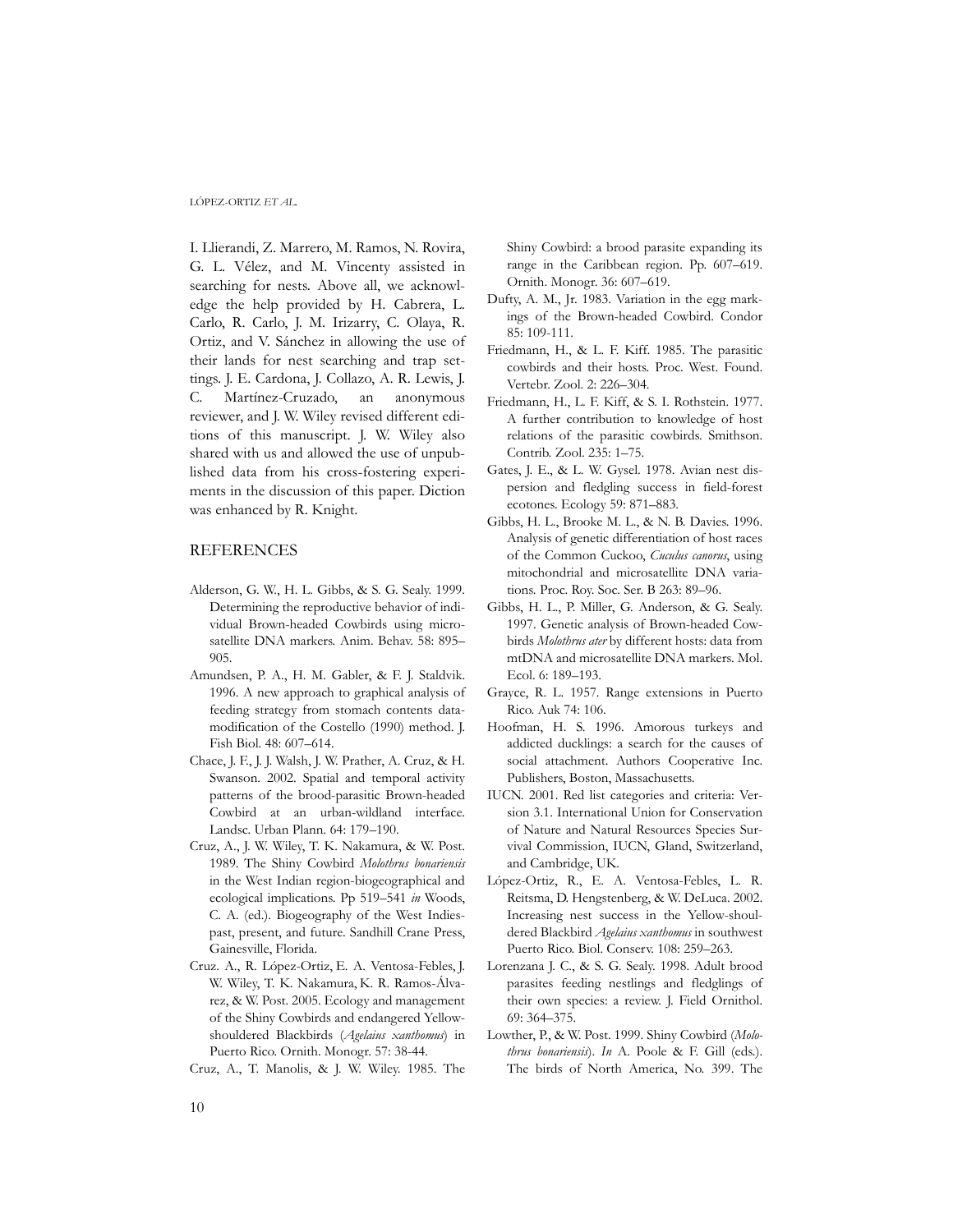I. Llierandi, Z. Marrero, M. Ramos, N. Rovira, G. L. Vélez, and M. Vincenty assisted in searching for nests. Above all, we acknowledge the help provided by H. Cabrera, L. Carlo, R. Carlo, J. M. Irizarry, C. Olaya, R. Ortiz, and V. Sánchez in allowing the use of their lands for nest searching and trap settings. J. E. Cardona, J. Collazo, A. R. Lewis, J. C. Martínez-Cruzado, an anonymous reviewer, and J. W. Wiley revised different editions of this manuscript. J. W. Wiley also shared with us and allowed the use of unpublished data from his cross-fostering experiments in the discussion of this paper. Diction was enhanced by R. Knight.

## REFERENCES

- Alderson, G. W., H. L. Gibbs, & S. G. Sealy. 1999. Determining the reproductive behavior of individual Brown-headed Cowbirds using microsatellite DNA markers. Anim. Behav. 58: 895– 905.
- Amundsen, P. A., H. M. Gabler, & F. J. Staldvik. 1996. A new approach to graphical analysis of feeding strategy from stomach contents datamodification of the Costello (1990) method. J. Fish Biol. 48: 607–614.
- Chace, J. F., J. J. Walsh, J. W. Prather, A. Cruz, & H. Swanson. 2002. Spatial and temporal activity patterns of the brood-parasitic Brown-headed Cowbird at an urban-wildland interface. Landsc. Urban Plann. 64: 179–190.
- Cruz, A., J. W. Wiley, T. K. Nakamura, & W. Post. 1989. The Shiny Cowbird *Molothrus bonariensis* in the West Indian region-biogeographical and ecological implications. Pp 519–541 *in* Woods, C. A. (ed.). Biogeography of the West Indiespast, present, and future. Sandhill Crane Press, Gainesville, Florida.
- Cruz. A., R. López-Ortiz, E. A. Ventosa-Febles, J. W. Wiley, T. K. Nakamura, K. R. Ramos-Álvarez, & W. Post. 2005. Ecology and management of the Shiny Cowbirds and endangered Yellowshouldered Blackbirds (*Agelaius xanthomus*) in Puerto Rico. Ornith. Monogr. 57: 38-44.
- Cruz, A., T. Manolis, & J. W. Wiley. 1985. The

Shiny Cowbird: a brood parasite expanding its range in the Caribbean region. Pp. 607–619. Ornith. Monogr. 36: 607–619.

- Dufty, A. M., Jr. 1983. Variation in the egg markings of the Brown-headed Cowbird. Condor 85: 109-111.
- Friedmann, H., & L. F. Kiff. 1985. The parasitic cowbirds and their hosts. Proc. West. Found. Vertebr. Zool. 2: 226–304.
- Friedmann, H., L. F. Kiff, & S. I. Rothstein. 1977. A further contribution to knowledge of host relations of the parasitic cowbirds. Smithson. Contrib. Zool. 235: 1–75.
- Gates, J. E., & L. W. Gysel. 1978. Avian nest dispersion and fledgling success in field-forest ecotones. Ecology 59: 871–883.
- Gibbs, H. L., Brooke M. L., & N. B. Davies. 1996. Analysis of genetic differentiation of host races of the Common Cuckoo, *Cuculus canorus*, using mitochondrial and microsatellite DNA variations. Proc. Roy. Soc. Ser. B 263: 89–96.
- Gibbs, H. L., P. Miller, G. Anderson, & G. Sealy. 1997. Genetic analysis of Brown-headed Cowbirds *Molothrus ater* by different hosts: data from mtDNA and microsatellite DNA markers. Mol. Ecol. 6: 189–193.
- Grayce, R. L. 1957. Range extensions in Puerto Rico. Auk 74: 106.
- Hoofman, H. S. 1996. Amorous turkeys and addicted ducklings: a search for the causes of social attachment. Authors Cooperative Inc. Publishers, Boston, Massachusetts.
- IUCN. 2001. Red list categories and criteria: Version 3.1. International Union for Conservation of Nature and Natural Resources Species Survival Commission, IUCN, Gland, Switzerland, and Cambridge, UK.
- López-Ortiz, R., E. A. Ventosa-Febles, L. R. Reitsma, D. Hengstenberg, & W. DeLuca. 2002. Increasing nest success in the Yellow-shouldered Blackbird *Agelaius xanthomus* in southwest Puerto Rico. Biol. Conserv. 108: 259–263.
- Lorenzana J. C., & S. G. Sealy. 1998. Adult brood parasites feeding nestlings and fledglings of their own species: a review. J. Field Ornithol. 69: 364–375.
- Lowther, P., & W. Post. 1999. Shiny Cowbird (*Molothrus bonariensis*). *In* A. Poole & F. Gill (eds.). The birds of North America, No. 399. The